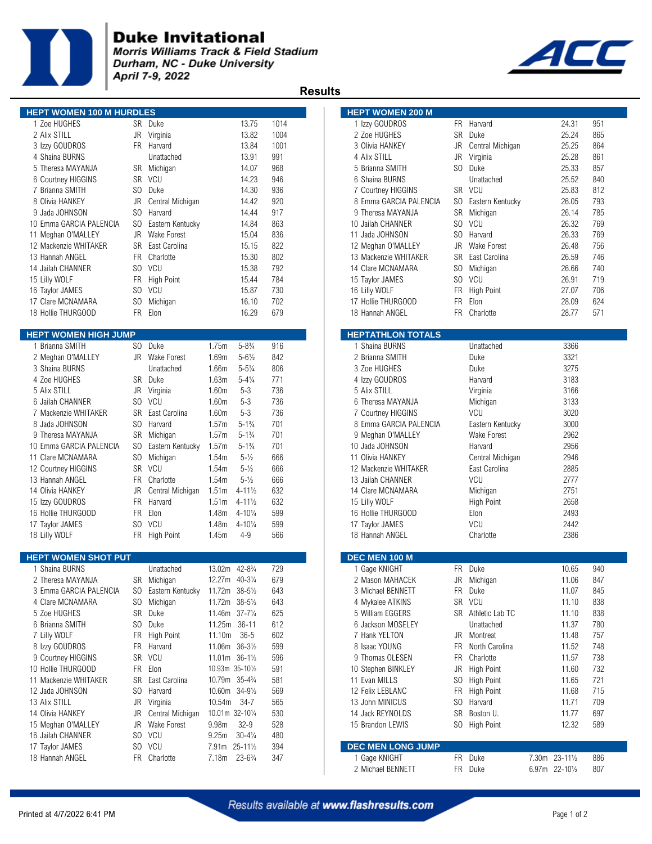

## **Duke Invitational**

Morris Williams Track & Field Stadium Durham, NC - Duke University April 7-9, 2022



 **Results** 

| <b>HEPT WOMEN 100 M HURDLES</b> |                |                    |                   |                     |      | <b>HEPT WOMEN 200 M</b>  |           |                    |                |     |
|---------------------------------|----------------|--------------------|-------------------|---------------------|------|--------------------------|-----------|--------------------|----------------|-----|
| 1 Zoe HUGHES                    |                | SR Duke            |                   | 13.75               | 1014 | 1 Izzy GOUDROS           |           | FR Harvard         | 24.31          | 951 |
| 2 Alix STILL                    |                | JR Virginia        |                   | 13.82               | 1004 | 2 Zoe HUGHES             | SR        | Duke               | 25.24          | 865 |
| 3 Izzy GOUDROS                  | FR             | Harvard            |                   | 13.84               | 1001 | 3 Olivia HANKEY          | JR        | Central Michigan   | 25.25          | 864 |
| 4 Shaina BURNS                  |                | Unattached         |                   | 13.91               | 991  | 4 Alix STILL             | <b>JR</b> | Virginia           | 25.28          | 861 |
| 5 Theresa MAYANJA               |                | SR Michigan        |                   | 14.07               | 968  | 5 Brianna SMITH          | SO.       | Duke               | 25.33          | 857 |
| 6 Courtney HIGGINS              | SR             | <b>VCU</b>         |                   | 14.23               | 946  | 6 Shaina BURNS           |           | Unattached         | 25.52          | 840 |
| 7 Brianna SMITH                 | S <sub>0</sub> | Duke               |                   | 14.30               | 936  | 7 Courtney HIGGINS       |           | SR VCU             | 25.83          | 812 |
| 8 Olivia HANKEY                 | <b>JR</b>      | Central Michigan   |                   | 14.42               | 920  | 8 Emma GARCIA PALENCIA   | SO.       | Eastern Kentucky   | 26.05          | 793 |
| 9 Jada JOHNSON                  | SO.            | Harvard            |                   | 14.44               | 917  | 9 Theresa MAYANJA        | SR        | Michigan           | 26.14          | 785 |
| 10 Emma GARCIA PALENCIA         | SO             | Eastern Kentucky   |                   | 14.84               | 863  | 10 Jailah CHANNER        | SO.       | VCU                | 26.32          | 769 |
| 11 Meghan O'MALLEY              | JR.            | <b>Wake Forest</b> |                   | 15.04               | 836  | 11 Jada JOHNSON          | SO.       | Harvard            | 26.33          | 769 |
| 12 Mackenzie WHITAKER           | SR             | East Carolina      |                   | 15.15               | 822  | 12 Meghan O'MALLEY       | JR        | <b>Wake Forest</b> | 26.48          | 756 |
| 13 Hannah ANGEL                 | FR.            | Charlotte          |                   | 15.30               | 802  | 13 Mackenzie WHITAKER    | SR.       | East Carolina      | 26.59          | 746 |
| 14 Jailah CHANNER               |                | SO VCU             |                   | 15.38               | 792  | 14 Clare MCNAMARA        | SO.       | Michigan           | 26.66          | 740 |
| 15 Lilly WOLF                   | FR             | High Point         |                   | 15.44               | 784  | 15 Taylor JAMES          | SO.       | VCU                | 26.91          | 719 |
| 16 Taylor JAMES                 |                | SO VCU             |                   | 15.87               | 730  | 16 Lilly WOLF            | FR        | <b>High Point</b>  | 27.07          | 706 |
| 17 Clare MCNAMARA               | SO.            | Michigan           |                   | 16.10               | 702  | 17 Hollie THURGOOD       | FR        | Elon               | 28.09          | 624 |
| 18 Hollie THURGOOD              | <b>FR</b>      | Elon               |                   | 16.29               | 679  | 18 Hannah ANGEL          | FR.       | Charlotte          | 28.77          | 571 |
| <b>HEPT WOMEN HIGH JUMP</b>     |                |                    |                   |                     |      | <b>HEPTATHLON TOTALS</b> |           |                    |                |     |
| 1 Brianna SMITH                 |                | SO Duke            | 1.75m             | $5 - 8\frac{3}{4}$  | 916  | 1 Shaina BURNS           |           | Unattached         | 3366           |     |
| 2 Meghan O'MALLEY               |                | JR Wake Forest     | 1.69m             | $5 - 6\frac{1}{2}$  | 842  | 2 Brianna SMITH          |           | Duke               | 3321           |     |
| 3 Shaina BURNS                  |                | Unattached         | 1.66m             | $5 - 5\frac{1}{4}$  | 806  | 3 Zoe HUGHES             |           | Duke               | 3275           |     |
| 4 Zoe HUGHES                    |                | SR Duke            | 1.63m             | $5 - 4\frac{1}{4}$  | 771  | 4 Izzy GOUDROS           |           | Harvard            | 3183           |     |
| 5 Alix STILL                    | JR             | Virginia           | 1.60m             | $5 - 3$             | 736  | 5 Alix STILL             |           | Virginia           | 3166           |     |
| 6 Jailah CHANNER                | SO.            | <b>VCU</b>         | 1.60m             | $5 - 3$             | 736  | 6 Theresa MAYANJA        |           | Michigan           | 3133           |     |
| 7 Mackenzie WHITAKER            | <b>SR</b>      | East Carolina      | 1.60m             | $5 - 3$             | 736  | 7 Courtney HIGGINS       |           | VCU                | 3020           |     |
| 8 Jada JOHNSON                  | SO             | Harvard            | 1.57m             | $5 - 1\frac{3}{4}$  | 701  | 8 Emma GARCIA PALENCIA   |           | Eastern Kentucky   | 3000           |     |
| 9 Theresa MAYANJA               | <b>SR</b>      | Michigan           | 1.57m             | $5 - 1\frac{3}{4}$  | 701  | 9 Meghan O'MALLEY        |           | Wake Forest        | 2962           |     |
| 10 Emma GARCIA PALENCIA         | S <sub>0</sub> | Eastern Kentucky   | 1.57m             | $5 - 1\frac{3}{4}$  | 701  | 10 Jada JOHNSON          |           | Harvard            | 2956           |     |
| 11 Clare MCNAMARA               | S <sub>0</sub> | Michigan           | 1.54m             | $5 - \frac{1}{2}$   | 666  | 11 Olivia HANKEY         |           | Central Michigan   | 2946           |     |
| 12 Courtney HIGGINS             |                | SR VCU             | 1.54m             | $5 - \frac{1}{2}$   | 666  | 12 Mackenzie WHITAKER    |           | East Carolina      | 2885           |     |
| 13 Hannah ANGEL                 | <b>FR</b>      | Charlotte          | 1.54m             | $5 - \frac{1}{2}$   | 666  | 13 Jailah CHANNER        |           | <b>VCU</b>         | 2777           |     |
| 14 Olivia HANKEY                | JR             | Central Michigan   | 1.51 <sub>m</sub> | $4 - 11\frac{1}{2}$ | 632  | 14 Clare MCNAMARA        |           | Michigan           | 2751           |     |
| 15 Izzy GOUDROS                 | <b>FR</b>      | Harvard            | 1.51 <sub>m</sub> | $4 - 11\frac{1}{2}$ | 632  | 15 Lilly WOLF            |           | High Point         | 2658           |     |
| 16 Hollie THURGOOD              | <b>FR</b>      | Elon               | 1.48m             | $4 - 10\frac{1}{4}$ | 599  | 16 Hollie THURGOOD       |           | Elon               | 2493           |     |
| 17 Taylor JAMES                 |                | SO VCU             | 1.48m             | $4 - 10\frac{1}{4}$ | 599  | 17 Taylor JAMES          |           | <b>VCU</b>         | 2442           |     |
| 18 Lilly WOLF                   |                | FR High Point      | 1.45m             | $4 - 9$             | 566  | 18 Hannah ANGEL          |           | Charlotte          | 2386           |     |
| <b>HEPT WOMEN SHOT PUT</b>      |                |                    |                   |                     |      | DEC MEN 100 M            |           |                    |                |     |
| 1 Shaina BURNS                  |                | Unattached         | 13.02m 42-81/4    |                     | 729  | 1 Gage KNIGHT            |           | FR Duke            | 10.65          | 940 |
| 2 Theresa MAYANJA               |                | SR Michigan        | 12.27m 40-31/4    |                     | 679  | 2 Mason MAHACEK          | JR        | Michigan           | 11.06          | 847 |
| 3 Emma GARCIA PALENCIA          | SO.            | Eastern Kentucky   | 11.72m 38-51/2    |                     | 643  | 3 Michael BENNETT        |           | FR Duke            | 11.07          | 845 |
| 4 Clare MCNAMARA                |                | SO Michigan        | 11.72m 38-51/2    |                     | 643  | 4 Mykalee ATKINS         |           | SR VCU             | 11.10          | 838 |
| 5 Zoe HUGHES                    |                | SR Duke            | 11.46m 37-71/4    |                     | 625  | 5 William EGGERS         |           | SR Athletic Lab TC | 11.10          | 838 |
| 6 Brianna SMITH                 |                | SO Duke            | 11.25m            | $36 - 11$           | 612  | 6 Jackson MOSELEY        |           | Unattached         | 11.37          | 780 |
| 7 Lilly WOLF                    |                | FR High Point      | 11.10m            | $36 - 5$            | 602  | 7 Hank YELTON            |           | JR Montreat        | 11.48          | 757 |
| 8 Izzy GOUDROS                  | FR             | Harvard            | 11.06m 36-31/2    |                     | 599  | 8 Isaac YOUNG            | FR        | North Carolina     | 11.52          | 748 |
| 9 Courtney HIGGINS              |                | SR VCU             | 11.01m 36-11/2    |                     | 596  | 9 Thomas OLESEN          | FR        | Charlotte          | 11.57          | 738 |
| 10 Hollie THURGOOD              | FR             | Elon               | 10.93m 35-101/2   |                     | 591  | 10 Stephen BINKLEY       |           | JR High Point      | 11.60          | 732 |
| 11 Mackenzie WHITAKER           | SR             | East Carolina      | 10.79m 35-43/4    |                     | 581  | 11 Evan MILLS            |           | SO High Point      | 11.65          | 721 |
| 12 Jada JOHNSON                 | S <sub>0</sub> | Harvard            | 10.60m 34-91/2    |                     | 569  | 12 Felix LEBLANC         |           | FR High Point      | 11.68          | 715 |
| 13 Alix STILL                   | JR             | Virginia           | 10.54m            | $34 - 7$            | 565  | 13 John MINICUS          |           | SO Harvard         | 11.71          | 709 |
| 14 Olivia HANKEY                | JR             | Central Michigan   | 10.01m 32-101/4   |                     | 530  | 14 Jack REYNOLDS         |           | SR Boston U.       | 11.77          | 697 |
| 15 Meghan O'MALLEY              | JR             | Wake Forest        | 9.98m             | $32 - 9$            | 528  | 15 Brandon LEWIS         |           | SO High Point      | 12.32          | 589 |
| 16 Jailah CHANNER               |                | SO VCU             | 9.25m             | $30 - 4\frac{1}{4}$ | 480  |                          |           |                    |                |     |
| 17 Taylor JAMES                 |                | SO VCU             | 7.91m 25-111/2    |                     | 394  | <b>DEC MEN LONG JUMP</b> |           |                    |                |     |
| 18 Hannah ANGEL                 |                | FR Charlotte       | 7.18m             | $23 - 6\frac{3}{4}$ | 347  | 1 Gage KNIGHT            | <b>FR</b> | Duke               | 7.30m 23-111/2 | 886 |
|                                 |                |                    |                   |                     |      | 2 Michael BENNETT        |           | FR Duke            | 6.97m 22-101/2 | 807 |
|                                 |                |                    |                   |                     |      |                          |           |                    |                |     |

| <b>HEPT WOMEN 200 M</b>  |           |                   |       |                      |     |  |
|--------------------------|-----------|-------------------|-------|----------------------|-----|--|
| 1 Izzy GOUDROS           | FR.       | Harvard           |       | 24.31                | 951 |  |
| 2 Zoe HUGHES             | <b>SR</b> | Duke              |       | 25.24                | 865 |  |
| 3 Olivia HANKEY          |           |                   |       |                      | 864 |  |
|                          | JR        | Central Michigan  |       | 25.25                |     |  |
| 4 Alix STILL             | JR        | Virginia          |       | 25.28                | 861 |  |
| 5 Brianna SMITH          | SO.       | Duke              |       | 25.33                | 857 |  |
| 6 Shaina BURNS           |           | Unattached        |       | 25.52                | 840 |  |
| 7 Courtney HIGGINS       | SR        | <b>VCU</b>        |       | 25.83                | 812 |  |
| 8 Emma GARCIA PALENCIA   | SO.       | Eastern Kentucky  |       | 26.05                | 793 |  |
| 9 Theresa MAYANJA        | SR        | Michigan          |       | 26.14                | 785 |  |
| 10 Jailah CHANNER        | SO.       | <b>VCU</b>        |       | 26.32                | 769 |  |
| 11 Jada JOHNSON          | SO.       | Harvard           |       | 26.33                | 769 |  |
| 12 Meghan O'MALLEY       | JR        | Wake Forest       |       | 26.48                | 756 |  |
| 13 Mackenzie WHITAKER    |           | SR East Carolina  |       | 26.59                | 746 |  |
| 14 Clare MCNAMARA        | SO.       | Michigan          |       | 26.66                | 740 |  |
| 15 Taylor JAMES          | SO.       | VCU               |       | 26.91                | 719 |  |
| 16 Lilly WOLF            | FR        | <b>High Point</b> |       | 27.07                | 706 |  |
| 17 Hollie THURGOOD       | <b>FR</b> | Elon              |       | 28.09                | 624 |  |
| 18 Hannah ANGEL          | FR.       | Charlotte         |       | 28.77                |     |  |
|                          |           |                   |       |                      | 571 |  |
| <b>HEPTATHLON TOTALS</b> |           |                   |       |                      |     |  |
| 1 Shaina BURNS           |           | Unattached        |       | 3366                 |     |  |
| 2 Brianna SMITH          |           | Duke              |       | 3321                 |     |  |
|                          |           |                   |       |                      |     |  |
| 3 Zoe HUGHES             |           | Duke              |       | 3275                 |     |  |
| 4 Izzy GOUDROS           |           | Harvard           |       | 3183                 |     |  |
| 5 Alix STILL             |           | Virginia          |       | 3166                 |     |  |
| 6 Theresa MAYANJA        |           | Michigan          |       | 3133                 |     |  |
| 7 Courtney HIGGINS       |           | VCU               |       | 3020                 |     |  |
| 8 Emma GARCIA PALENCIA   |           | Eastern Kentucky  |       | 3000                 |     |  |
| 9 Meghan O'MALLEY        |           | Wake Forest       |       | 2962                 |     |  |
| 10 Jada JOHNSON          |           | Harvard           |       | 2956                 |     |  |
| 11 Olivia HANKEY         |           | Central Michigan  |       | 2946                 |     |  |
| 12 Mackenzie WHITAKER    |           | East Carolina     |       | 2885                 |     |  |
| 13 Jailah CHANNER        |           | <b>VCU</b>        |       | 2777                 |     |  |
| 14 Clare MCNAMARA        |           | Michigan          |       | 2751                 |     |  |
| 15 Lilly WOLF            |           | <b>High Point</b> |       | 2658                 |     |  |
| 16 Hollie THURGOOD       |           | Elon              |       | 2493                 |     |  |
| 17 Taylor JAMES          |           | VCU               |       | 2442                 |     |  |
| 18 Hannah ANGEL          |           | Charlotte         |       | 2386                 |     |  |
|                          |           |                   |       |                      |     |  |
| <b>DEC MEN 100 M</b>     |           |                   |       |                      |     |  |
| 1 Gage KNIGHT            | FR.       | Duke              |       | 10.65                | 940 |  |
| 2 Mason MAHACEK          |           | JR Michigan       |       | 11.06                | 847 |  |
| 3 Michael BENNETT        | FR        | Duke              |       | 11.07                | 845 |  |
| 4 Mykalee ATKINS         | SR        | VCU               |       | 11.10                | 838 |  |
| 5 William EGGERS         | SR        | Athletic Lab TC   |       | 11.10                | 838 |  |
| 6 Jackson MOSELEY        |           | Unattached        |       | 11.37                | 780 |  |
| 7 Hank YELTON            | JR        |                   |       |                      | 757 |  |
|                          |           | Montreat          |       | 11.48                |     |  |
| 8 Isaac YOUNG            | FR        | North Carolina    |       | 11.52                | 748 |  |
| 9 Thomas OLESEN          | FR        | Charlotte         |       | 11.57                | 738 |  |
| 10 Stephen BINKLEY       | JR        | High Point        |       | 11.60                | 732 |  |
| 11 Evan MILLS            | SO        | <b>High Point</b> |       | 11.65                | 721 |  |
| 12 Felix LEBLANC         | FR        | High Point        |       | 11.68                | 715 |  |
| 13 John MINICUS          | SO        | Harvard           |       | 11.71                | 709 |  |
| 14 Jack REYNOLDS         | SR        | Boston U.         |       | 11.77                | 697 |  |
| 15 Brandon LEWIS         | SO        | High Point        |       | 12.32                | 589 |  |
|                          |           |                   |       |                      |     |  |
| <b>DEC MEN LONG JUMP</b> |           |                   |       |                      |     |  |
| 1 Gage KNIGHT            | FR        | Duke              | 7.30m | $23 - 11\frac{1}{2}$ | 886 |  |
| 2 Michael BENNETT        | FR        | Duke              | 6.97m | 22-101/2             | 807 |  |